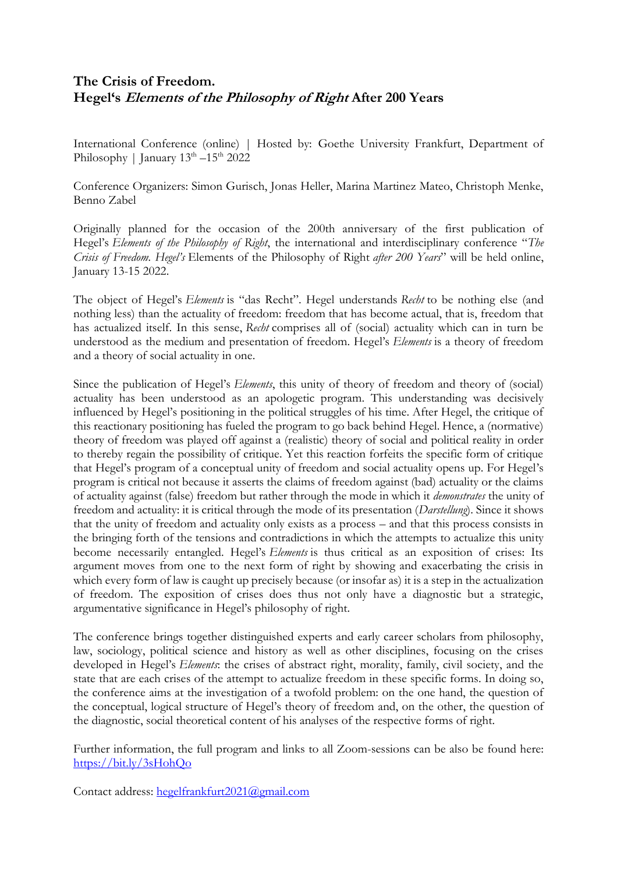## **The Crisis of Freedom. Hegel's Elements of the Philosophy of Right After 200 Years**

International Conference (online) | Hosted by: Goethe University Frankfurt, Department of Philosophy | January  $13^{\text{th}} - 15^{\text{th}} 2022$ 

Conference Organizers: Simon Gurisch, Jonas Heller, Marina Martinez Mateo, Christoph Menke, Benno Zabel

Originally planned for the occasion of the 200th anniversary of the first publication of Hegel's *Elements of the Philosophy of Right*, the international and interdisciplinary conference "*The Crisis of Freedom. Hegel's* Elements of the Philosophy of Right *after 200 Years*" will be held online, January 13-15 2022.

The object of Hegel's *Elements* is "das Recht". Hegel understands *Recht* to be nothing else (and nothing less) than the actuality of freedom: freedom that has become actual, that is, freedom that has actualized itself. In this sense, *Recht* comprises all of (social) actuality which can in turn be understood as the medium and presentation of freedom. Hegel's *Elements* is a theory of freedom and a theory of social actuality in one.

Since the publication of Hegel's *Elements*, this unity of theory of freedom and theory of (social) actuality has been understood as an apologetic program. This understanding was decisively influenced by Hegel's positioning in the political struggles of his time. After Hegel, the critique of this reactionary positioning has fueled the program to go back behind Hegel. Hence, a (normative) theory of freedom was played off against a (realistic) theory of social and political reality in order to thereby regain the possibility of critique. Yet this reaction forfeits the specific form of critique that Hegel's program of a conceptual unity of freedom and social actuality opens up. For Hegel's program is critical not because it asserts the claims of freedom against (bad) actuality or the claims of actuality against (false) freedom but rather through the mode in which it *demonstrates* the unity of freedom and actuality: it is critical through the mode of its presentation (*Darstellung*). Since it shows that the unity of freedom and actuality only exists as a process – and that this process consists in the bringing forth of the tensions and contradictions in which the attempts to actualize this unity become necessarily entangled. Hegel's *Elements* is thus critical as an exposition of crises: Its argument moves from one to the next form of right by showing and exacerbating the crisis in which every form of law is caught up precisely because (or insofar as) it is a step in the actualization of freedom. The exposition of crises does thus not only have a diagnostic but a strategic, argumentative significance in Hegel's philosophy of right.

The conference brings together distinguished experts and early career scholars from philosophy, law, sociology, political science and history as well as other disciplines, focusing on the crises developed in Hegel's *Elements*: the crises of abstract right, morality, family, civil society, and the state that are each crises of the attempt to actualize freedom in these specific forms. In doing so, the conference aims at the investigation of a twofold problem: on the one hand, the question of the conceptual, logical structure of Hegel's theory of freedom and, on the other, the question of the diagnostic, social theoretical content of his analyses of the respective forms of right.

Further information, the full program and links to all Zoom-sessions can be also be found here: <https://bit.ly/3sHohQo>

Contact address: [hegelfrankfurt2021@gmail.com](mailto:hegelfrankfurt2021@gmail.com)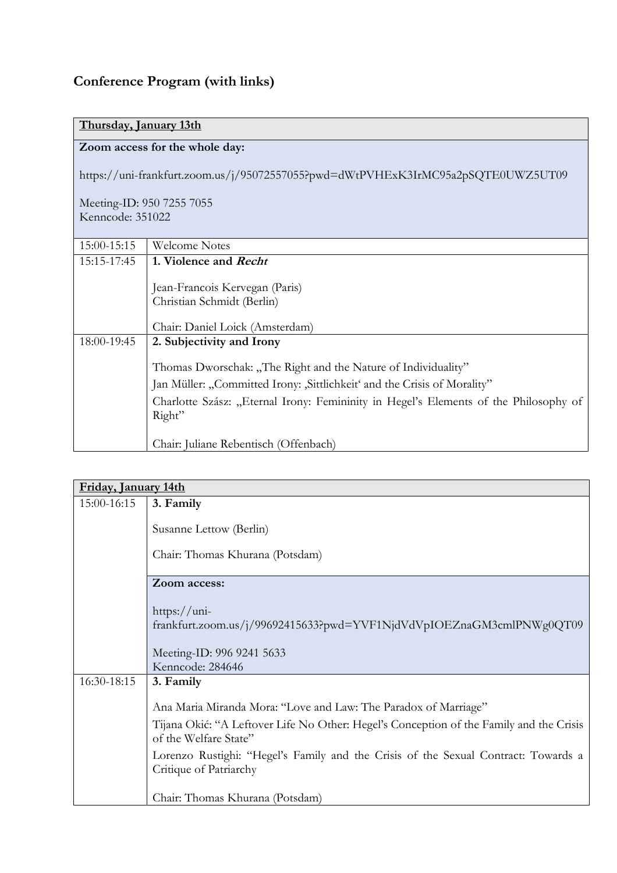## **Conference Program (with links)**

## **Thursday, January 13th**

## **Zoom access for the whole day:**

https://uni-frankfurt.zoom.us/j/95072557055?pwd=dWtPVHExK3IrMC95a2pSQTE0UWZ5UT09

Meeting-ID: 950 7255 7055 Kenncode: 351022

| 15:00-15:15 | Welcome Notes                                                                        |
|-------------|--------------------------------------------------------------------------------------|
| 15:15-17:45 | 1. Violence and <i>Recht</i>                                                         |
|             |                                                                                      |
|             | Jean-Francois Kervegan (Paris)                                                       |
|             | Christian Schmidt (Berlin)                                                           |
|             |                                                                                      |
|             | Chair: Daniel Loick (Amsterdam)                                                      |
| 18:00-19:45 | 2. Subjectivity and Irony                                                            |
|             |                                                                                      |
|             | Thomas Dworschak: "The Right and the Nature of Individuality"                        |
|             | Jan Müller: "Committed Irony: "Sittlichkeit' and the Crisis of Morality"             |
|             | Charlotte Szász: "Eternal Irony: Femininity in Hegel's Elements of the Philosophy of |
|             | Right"                                                                               |
|             |                                                                                      |
|             | Chair: Juliane Rebentisch (Offenbach)                                                |

| Friday, January 14th |                                                                                                                                                            |  |
|----------------------|------------------------------------------------------------------------------------------------------------------------------------------------------------|--|
| 15:00-16:15          | 3. Family                                                                                                                                                  |  |
|                      | Susanne Lettow (Berlin)                                                                                                                                    |  |
|                      | Chair: Thomas Khurana (Potsdam)                                                                                                                            |  |
|                      | Zoom access:                                                                                                                                               |  |
|                      | https:// $uni-$<br>frankfurt.zoom.us/j/99692415633?pwd=YVF1NjdVdVpIOEZnaGM3cmlPNWg0QT09                                                                    |  |
|                      | Meeting-ID: 996 9241 5633<br>Kenncode: 284646                                                                                                              |  |
| 16:30-18:15          | 3. Family                                                                                                                                                  |  |
|                      | Ana Maria Miranda Mora: "Love and Law: The Paradox of Marriage"<br>Tijana Okić: "A Leftover Life No Other: Hegel's Conception of the Family and the Crisis |  |
|                      | of the Welfare State"                                                                                                                                      |  |
|                      | Lorenzo Rustighi: "Hegel's Family and the Crisis of the Sexual Contract: Towards a<br>Critique of Patriarchy                                               |  |
|                      | Chair: Thomas Khurana (Potsdam)                                                                                                                            |  |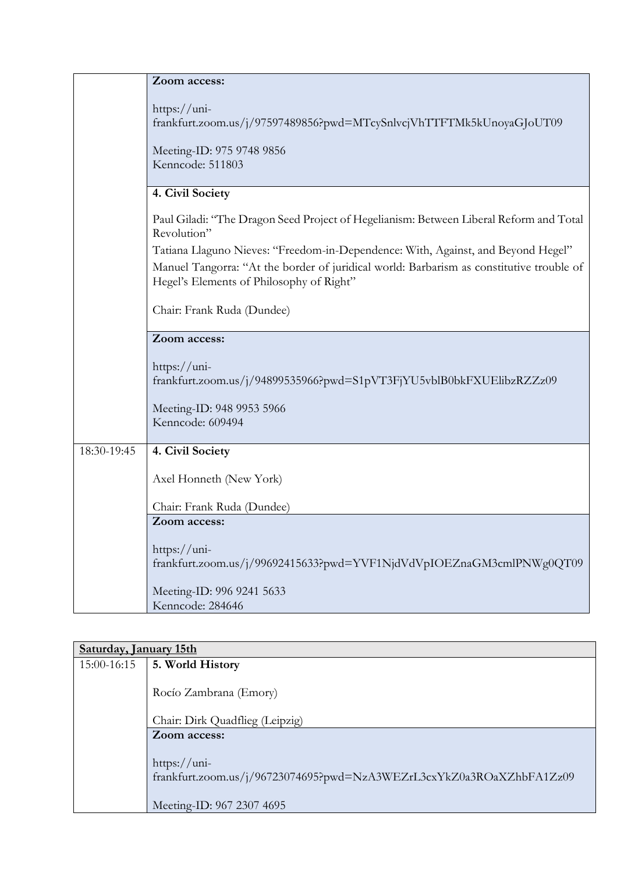|             | Zoom access:                                                                                                                          |
|-------------|---------------------------------------------------------------------------------------------------------------------------------------|
|             | https://uni-<br>frankfurt.zoom.us/j/97597489856?pwd=MTcySnlvcjVhTTFTMk5kUnoyaGJoUT09<br>Meeting-ID: 975 9748 9856<br>Kenncode: 511803 |
|             | 4. Civil Society                                                                                                                      |
|             | Paul Giladi: "The Dragon Seed Project of Hegelianism: Between Liberal Reform and Total<br>Revolution"                                 |
|             | Tatiana Llaguno Nieves: "Freedom-in-Dependence: With, Against, and Beyond Hegel"                                                      |
|             | Manuel Tangorra: "At the border of juridical world: Barbarism as constitutive trouble of<br>Hegel's Elements of Philosophy of Right"  |
|             | Chair: Frank Ruda (Dundee)                                                                                                            |
|             | Zoom access:                                                                                                                          |
|             | https://uni-<br>frankfurt.zoom.us/j/94899535966?pwd=S1pVT3FjYU5vblB0bkFXUElibzRZZz09                                                  |
|             | Meeting-ID: 948 9953 5966<br>Kenncode: 609494                                                                                         |
| 18:30-19:45 | 4. Civil Society                                                                                                                      |
|             | Axel Honneth (New York)                                                                                                               |
|             | Chair: Frank Ruda (Dundee)                                                                                                            |
|             | Zoom access:                                                                                                                          |
|             | https://uni-<br>frankfurt.zoom.us/j/99692415633?pwd=YVF1NjdVdVpIOEZnaGM3cmlPNWg0QT09                                                  |
|             | Meeting-ID: 996 9241 5633<br>Kenncode: 284646                                                                                         |
|             |                                                                                                                                       |

| Saturday, January 15th |                                                                                              |
|------------------------|----------------------------------------------------------------------------------------------|
| 15:00-16:15            | 5. World History                                                                             |
|                        | Rocío Zambrana (Emory)                                                                       |
|                        | Chair: Dirk Quadflieg (Leipzig)                                                              |
|                        | Zoom access:                                                                                 |
|                        | $\frac{https://uni-$<br>frankfurt.zoom.us/j/96723074695?pwd=NzA3WEZrL3cxYkZ0a3ROaXZhbFA1Zz09 |
|                        | Meeting-ID: 967 2307 4695                                                                    |